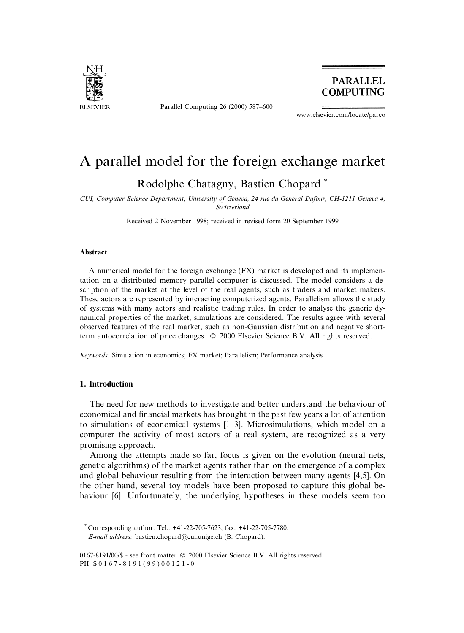

Parallel Computing 26 (2000) 587-600



www.elsevier.com/locate/parco

# A parallel model for the foreign exchange market

Rodolphe Chatagny, Bastien Chopard \*

CUI, Computer Science Department, University of Geneva, 24 rue du General Dufour, CH-1211 Geneva 4, Switzerland

Received 2 November 1998; received in revised form 20 September 1999

#### Abstract

A numerical model for the foreign exchange (FX) market is developed and its implementation on a distributed memory parallel computer is discussed. The model considers a description of the market at the level of the real agents, such as traders and market makers. These actors are represented by interacting computerized agents. Parallelism allows the study of systems with many actors and realistic trading rules. In order to analyse the generic dynamical properties of the market, simulations are considered. The results agree with several observed features of the real market, such as non-Gaussian distribution and negative shortterm autocorrelation of price changes.  $\odot$  2000 Elsevier Science B.V. All rights reserved.

Keywords: Simulation in economics; FX market; Parallelism; Performance analysis

## 1. Introduction

The need for new methods to investigate and better understand the behaviour of economical and financial markets has brought in the past few years a lot of attention to simulations of economical systems  $[1-3]$ . Microsimulations, which model on a computer the activity of most actors of a real system, are recognized as a very promising approach.

Among the attempts made so far, focus is given on the evolution (neural nets, genetic algorithms) of the market agents rather than on the emergence of a complex and global behaviour resulting from the interaction between many agents [4,5]. On the other hand, several toy models have been proposed to capture this global behaviour [6]. Unfortunately, the underlying hypotheses in these models seem too

<sup>\*</sup> Corresponding author. Tel.:  $+41-22-705-7623$ ; fax:  $+41-22-705-7780$ . E-mail address: bastien.chopard@cui.unige.ch (B. Chopard).

<sup>0167-8191/00/\$ -</sup> see front matter © 2000 Elsevier Science B.V. All rights reserved. PII: S 0 1 6 7 - 8 1 9 1 ( 9 9 ) 0 0 1 2 1 - 0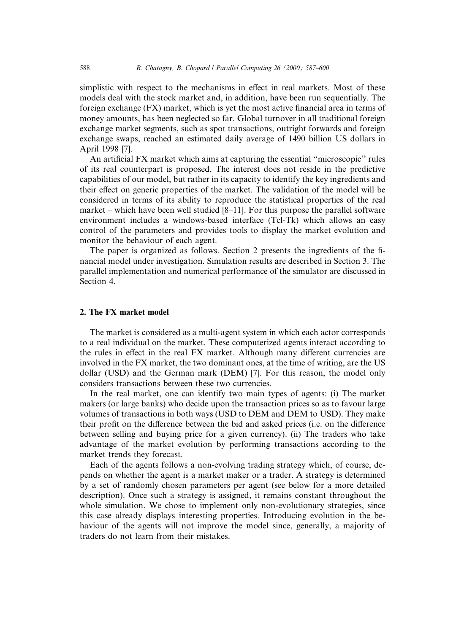simplistic with respect to the mechanisms in effect in real markets. Most of these models deal with the stock market and, in addition, have been run sequentially. The foreign exchange  $(FX)$  market, which is yet the most active financial area in terms of money amounts, has been neglected so far. Global turnover in all traditional foreign exchange market segments, such as spot transactions, outright forwards and foreign exchange swaps, reached an estimated daily average of 1490 billion US dollars in April 1998 [7].

An artificial FX market which aims at capturing the essential "microscopic" rules of its real counterpart is proposed. The interest does not reside in the predictive capabilities of our model, but rather in its capacity to identify the key ingredients and their effect on generic properties of the market. The validation of the model will be considered in terms of its ability to reproduce the statistical properties of the real market  $-$  which have been well studied  $[8-11]$ . For this purpose the parallel software environment includes a windows-based interface (Tcl-Tk) which allows an easy control of the parameters and provides tools to display the market evolution and monitor the behaviour of each agent.

The paper is organized as follows. Section 2 presents the ingredients of the financial model under investigation. Simulation results are described in Section 3. The parallel implementation and numerical performance of the simulator are discussed in Section 4.

### 2. The FX market model

The market is considered as a multi-agent system in which each actor corresponds to a real individual on the market. These computerized agents interact according to the rules in effect in the real FX market. Although many different currencies are involved in the FX market, the two dominant ones, at the time of writing, are the US dollar (USD) and the German mark (DEM) [7]. For this reason, the model only considers transactions between these two currencies.

In the real market, one can identify two main types of agents: (i) The market makers (or large banks) who decide upon the transaction prices so as to favour large volumes of transactions in both ways (USD to DEM and DEM to USD). They make their profit on the difference between the bid and asked prices (i.e. on the difference between selling and buying price for a given currency). (ii) The traders who take advantage of the market evolution by performing transactions according to the market trends they forecast.

Each of the agents follows a non-evolving trading strategy which, of course, depends on whether the agent is a market maker or a trader. A strategy is determined by a set of randomly chosen parameters per agent (see below for a more detailed description). Once such a strategy is assigned, it remains constant throughout the whole simulation. We chose to implement only non-evolutionary strategies, since this case already displays interesting properties. Introducing evolution in the behaviour of the agents will not improve the model since, generally, a majority of traders do not learn from their mistakes.